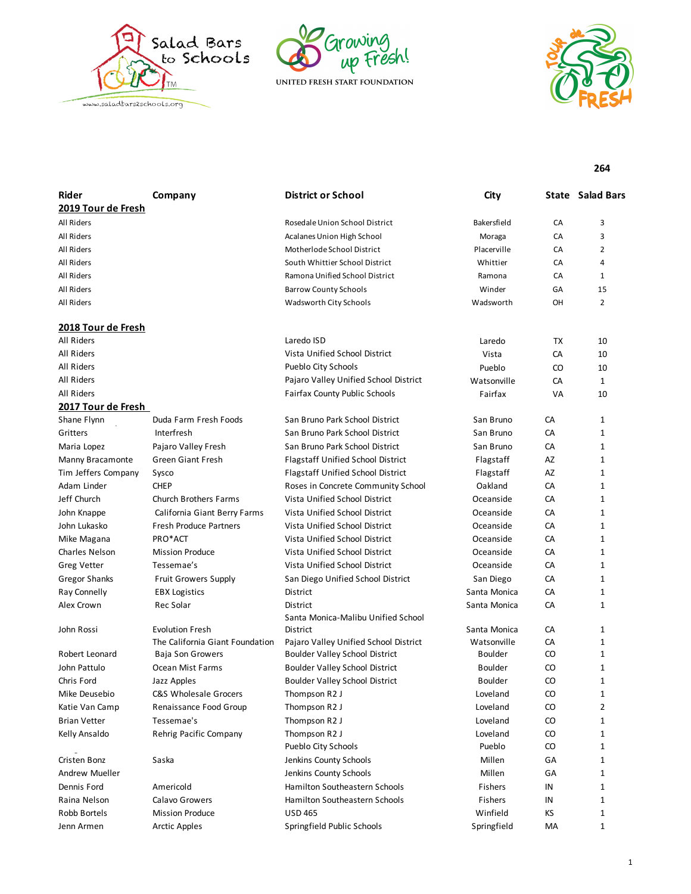





**264**

| Rider                | Company                          | <b>District or School</b>             | City           |    | <b>State Salad Bars</b> |
|----------------------|----------------------------------|---------------------------------------|----------------|----|-------------------------|
| 2019 Tour de Fresh   |                                  |                                       |                |    |                         |
| All Riders           |                                  | Rosedale Union School District        | Bakersfield    | CA | 3                       |
| All Riders           |                                  | Acalanes Union High School            | Moraga         | CA | 3                       |
| All Riders           |                                  | Motherlode School District            | Placerville    | CA | $\overline{2}$          |
| All Riders           |                                  | South Whittier School District        | Whittier       | CA | 4                       |
| All Riders           |                                  | Ramona Unified School District        | Ramona         | CA | $\mathbf{1}$            |
| All Riders           |                                  | <b>Barrow County Schools</b>          | Winder         | GA | 15                      |
| All Riders           |                                  | Wadsworth City Schools                | Wadsworth      | OH | $\overline{2}$          |
| 2018 Tour de Fresh   |                                  |                                       |                |    |                         |
| All Riders           |                                  | Laredo ISD                            | Laredo         | TX | 10                      |
| All Riders           |                                  | Vista Unified School District         | Vista          | CA | 10                      |
| All Riders           |                                  | Pueblo City Schools                   | Pueblo         | CO | 10                      |
| All Riders           |                                  | Pajaro Valley Unified School District | Watsonville    | CA | $\mathbf{1}$            |
| <b>All Riders</b>    |                                  | Fairfax County Public Schools         | Fairfax        | VA | 10                      |
| 2017 Tour de Fresh   |                                  |                                       |                |    |                         |
| Shane Flynn          | Duda Farm Fresh Foods            | San Bruno Park School District        | San Bruno      | CA | 1                       |
| Gritters             | Interfresh                       | San Bruno Park School District        | San Bruno      | CA | $\mathbf{1}$            |
| Maria Lopez          | Pajaro Valley Fresh              | San Bruno Park School District        | San Bruno      | CA | $\mathbf{1}$            |
| Manny Bracamonte     | <b>Green Giant Fresh</b>         | Flagstaff Unified School District     | Flagstaff      | AZ | $\mathbf{1}$            |
| Tim Jeffers Company  | Sysco                            | Flagstaff Unified School District     | Flagstaff      | AZ | 1                       |
| Adam Linder          | <b>CHEP</b>                      | Roses in Concrete Community School    | Oakland        | CA | 1                       |
| Jeff Church          | <b>Church Brothers Farms</b>     | Vista Unified School District         | Oceanside      | CA | $\mathbf{1}$            |
| John Knappe          | California Giant Berry Farms     | Vista Unified School District         | Oceanside      | CA | $\mathbf{1}$            |
| John Lukasko         | <b>Fresh Produce Partners</b>    | Vista Unified School District         | Oceanside      | CA | $\mathbf{1}$            |
| Mike Magana          | PRO*ACT                          | Vista Unified School District         | Oceanside      | CA | $\mathbf{1}$            |
| Charles Nelson       | <b>Mission Produce</b>           | Vista Unified School District         | Oceanside      | CA | 1                       |
| <b>Greg Vetter</b>   | Tessemae's                       | Vista Unified School District         | Oceanside      | CA | 1                       |
| <b>Gregor Shanks</b> | <b>Fruit Growers Supply</b>      | San Diego Unified School District     | San Diego      | CA | $\mathbf{1}$            |
| Ray Connelly         | <b>EBX Logistics</b>             | District                              | Santa Monica   | CA | 1                       |
| Alex Crown           | Rec Solar                        | District                              | Santa Monica   | CA | $\mathbf{1}$            |
|                      |                                  | Santa Monica-Malibu Unified School    |                |    |                         |
| John Rossi           | <b>Evolution Fresh</b>           | District                              | Santa Monica   | CA | 1                       |
|                      | The California Giant Foundation  | Pajaro Valley Unified School District | Watsonville    | CA | 1                       |
| Robert Leonard       | Baja Son Growers                 | Boulder Valley School District        | <b>Boulder</b> | CO | $\mathbf{1}$            |
| John Pattulo         | Ocean Mist Farms                 | <b>Boulder Valley School District</b> | <b>Boulder</b> | CO | 1                       |
| Chris Ford           | Jazz Apples                      | <b>Boulder Valley School District</b> | <b>Boulder</b> | CO | 1                       |
| Mike Deusebio        | <b>C&amp;S Wholesale Grocers</b> | Thompson R2 J                         | Loveland       | CO | 1                       |
| Katie Van Camp       | Renaissance Food Group           | Thompson R2 J                         | Loveland       | CO | $\overline{2}$          |
| <b>Brian Vetter</b>  | Tessemae's                       | Thompson R2 J                         | Loveland       | CO | $\mathbf{1}$            |
| Kelly Ansaldo        | Rehrig Pacific Company           | Thompson R2 J                         | Loveland       | CO | 1                       |
|                      |                                  | Pueblo City Schools                   | Pueblo         | CO | 1                       |
| Cristen Bonz         | Saska                            | Jenkins County Schools                | Millen         | GA | 1                       |
| Andrew Mueller       |                                  | Jenkins County Schools                | Millen         | GA | 1                       |
| Dennis Ford          | Americold                        | Hamilton Southeastern Schools         | Fishers        | IN | 1                       |
| Raina Nelson         | Calavo Growers                   | Hamilton Southeastern Schools         | Fishers        | IN | 1                       |
| Robb Bortels         | <b>Mission Produce</b>           | <b>USD 465</b>                        | Winfield       | КS | 1                       |
| Jenn Armen           | <b>Arctic Apples</b>             | Springfield Public Schools            | Springfield    | МA | 1                       |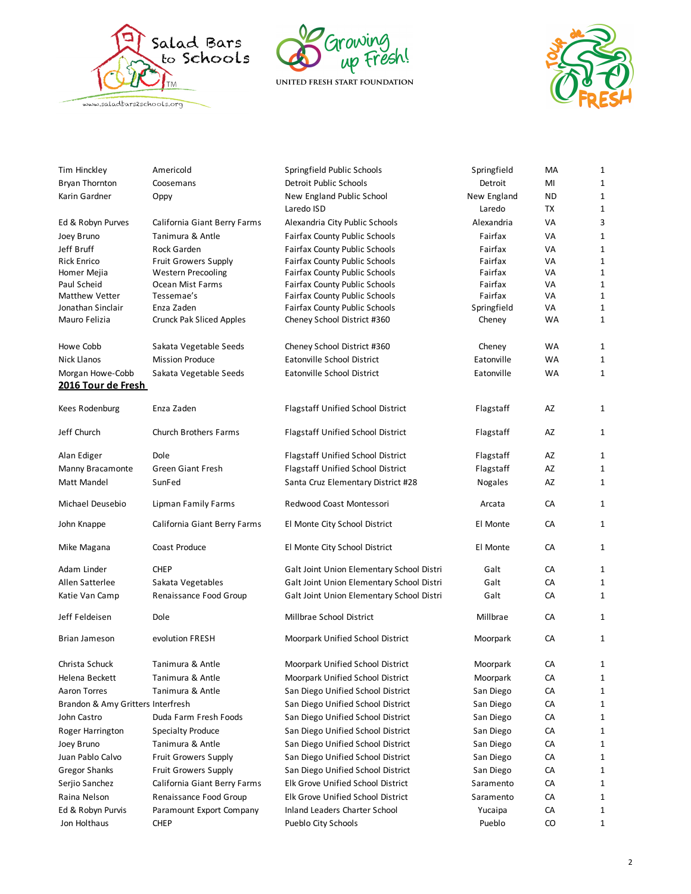





| Tim Hinckley                      | Americold                       | Springfield Public Schools                | Springfield | MA        | 1 |
|-----------------------------------|---------------------------------|-------------------------------------------|-------------|-----------|---|
| <b>Bryan Thornton</b>             | Coosemans                       | Detroit Public Schools                    | Detroit     | MI        | 1 |
| Karin Gardner                     | Oppy                            | New England Public School                 | New England | <b>ND</b> | 1 |
|                                   |                                 | Laredo ISD                                | Laredo      | TX        | 1 |
| Ed & Robyn Purves                 | California Giant Berry Farms    | Alexandria City Public Schools            | Alexandria  | VA        | 3 |
| Joey Bruno                        | Tanimura & Antle                | <b>Fairfax County Public Schools</b>      | Fairfax     | VA        | 1 |
| Jeff Bruff                        | Rock Garden                     | <b>Fairfax County Public Schools</b>      | Fairfax     | VA        | 1 |
| <b>Rick Enrico</b>                | Fruit Growers Supply            | <b>Fairfax County Public Schools</b>      | Fairfax     | VA        | 1 |
| Homer Mejia                       | <b>Western Precooling</b>       | <b>Fairfax County Public Schools</b>      | Fairfax     | VA        | 1 |
| Paul Scheid                       | Ocean Mist Farms                | <b>Fairfax County Public Schools</b>      | Fairfax     | VA        | 1 |
| Matthew Vetter                    | Tessemae's                      | <b>Fairfax County Public Schools</b>      | Fairfax     | VA        | 1 |
| Jonathan Sinclair                 | Enza Zaden                      | Fairfax County Public Schools             | Springfield | VA        | 1 |
| Mauro Felizia                     | <b>Crunck Pak Sliced Apples</b> | Cheney School District #360               | Cheney      | WA        | 1 |
| Howe Cobb                         | Sakata Vegetable Seeds          | Cheney School District #360               | Cheney      | WA        | 1 |
| <b>Nick Llanos</b>                | <b>Mission Produce</b>          | Eatonville School District                | Eatonville  | WA        | 1 |
| Morgan Howe-Cobb                  | Sakata Vegetable Seeds          | Eatonville School District                | Eatonville  | <b>WA</b> | 1 |
| 2016 Tour de Fresh                |                                 |                                           |             |           |   |
| Kees Rodenburg                    | Enza Zaden                      | Flagstaff Unified School District         | Flagstaff   | AZ        | 1 |
| Jeff Church                       | <b>Church Brothers Farms</b>    | Flagstaff Unified School District         | Flagstaff   | AZ        | 1 |
| Alan Ediger                       | Dole                            | <b>Flagstaff Unified School District</b>  | Flagstaff   | AZ        | 1 |
| Manny Bracamonte                  | <b>Green Giant Fresh</b>        | Flagstaff Unified School District         | Flagstaff   | AZ        | 1 |
| Matt Mandel                       | SunFed                          | Santa Cruz Elementary District #28        | Nogales     | AZ        | 1 |
| Michael Deusebio                  | Lipman Family Farms             | Redwood Coast Montessori                  | Arcata      | CA        | 1 |
| John Knappe                       | California Giant Berry Farms    | El Monte City School District             | El Monte    | CA        | 1 |
| Mike Magana                       | Coast Produce                   | El Monte City School District             | El Monte    | CA        | 1 |
| Adam Linder                       | <b>CHEP</b>                     | Galt Joint Union Elementary School Distri | Galt        | CA        | 1 |
| Allen Satterlee                   | Sakata Vegetables               | Galt Joint Union Elementary School Distri | Galt        | CA        | 1 |
| Katie Van Camp                    | Renaissance Food Group          | Galt Joint Union Elementary School Distri | Galt        | CA        | 1 |
| Jeff Feldeisen                    | Dole                            | Millbrae School District                  | Millbrae    | CA        | 1 |
| <b>Brian Jameson</b>              | evolution FRESH                 | Moorpark Unified School District          | Moorpark    | CA        | 1 |
| Christa Schuck                    | Tanimura & Antle                | Moorpark Unified School District          | Moorpark    | CA        | 1 |
| Helena Beckett                    | Tanimura & Antle                | Moorpark Unified School District          | Moorpark    | CA        | 1 |
| <b>Aaron Torres</b>               | Tanimura & Antle                | San Diego Unified School District         | San Diego   | CA        | 1 |
| Brandon & Amy Gritters Interfresh |                                 | San Diego Unified School District         | San Diego   | CA        | 1 |
| John Castro                       | Duda Farm Fresh Foods           | San Diego Unified School District         | San Diego   | CA        | 1 |
| Roger Harrington                  | <b>Specialty Produce</b>        | San Diego Unified School District         | San Diego   | CA        | 1 |
| Joey Bruno                        | Tanimura & Antle                | San Diego Unified School District         | San Diego   | CA        | 1 |
| Juan Pablo Calvo                  | <b>Fruit Growers Supply</b>     | San Diego Unified School District         | San Diego   | CA        | 1 |
| <b>Gregor Shanks</b>              | <b>Fruit Growers Supply</b>     | San Diego Unified School District         | San Diego   | CA        | 1 |
| Serjio Sanchez                    | California Giant Berry Farms    | Elk Grove Unified School District         | Saramento   | CA        | 1 |
| Raina Nelson                      | Renaissance Food Group          | Elk Grove Unified School District         | Saramento   | CA        | 1 |
|                                   |                                 |                                           |             |           |   |
| Ed & Robyn Purvis                 | Paramount Export Company        | Inland Leaders Charter School             | Yucaipa     | СA        | 1 |
| Jon Holthaus                      | <b>CHEP</b>                     | Pueblo City Schools                       | Pueblo      | CO        | 1 |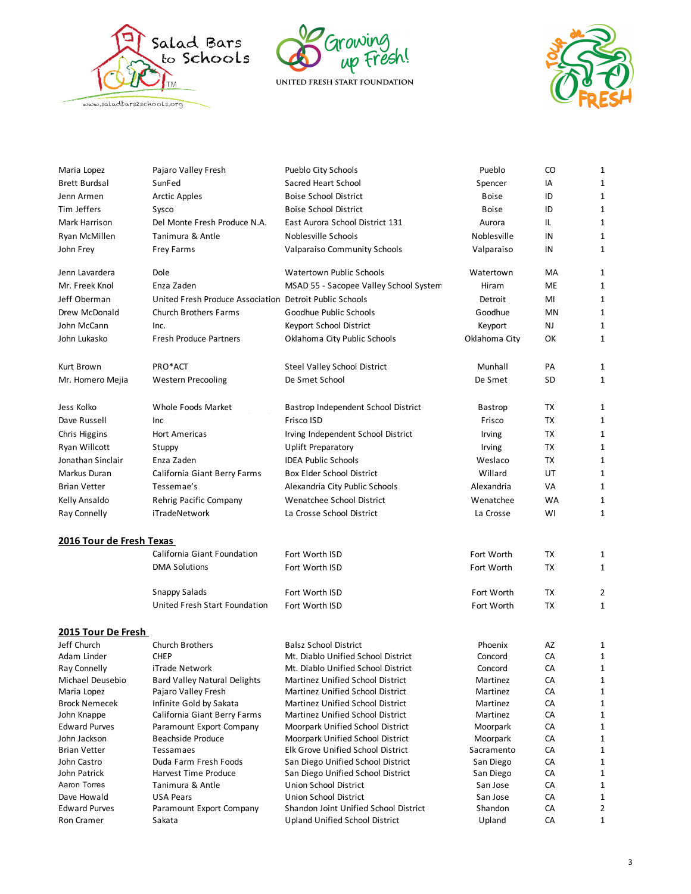





| Maria Lopez                  | Pajaro Valley Fresh                                     | Pueblo City Schools                                        | Pueblo                | CO       | 1            |
|------------------------------|---------------------------------------------------------|------------------------------------------------------------|-----------------------|----------|--------------|
| <b>Brett Burdsal</b>         | SunFed                                                  | Sacred Heart School                                        | Spencer               | IA       | 1            |
| Jenn Armen                   | <b>Arctic Apples</b>                                    | <b>Boise School District</b>                               | <b>Boise</b>          | ID       | 1            |
| Tim Jeffers                  | Sysco                                                   | <b>Boise School District</b>                               | <b>Boise</b>          | ID       | 1            |
| Mark Harrison                | Del Monte Fresh Produce N.A.                            | East Aurora School District 131                            | Aurora                | IL       | 1            |
| Ryan McMillen                | Tanimura & Antle                                        | Noblesville Schools                                        | Noblesville           | IN       | 1            |
| John Frey                    | Frey Farms                                              | Valparaiso Community Schools                               | Valparaiso            | IN       | 1            |
|                              |                                                         |                                                            |                       |          |              |
| Jenn Lavardera               | Dole                                                    | <b>Watertown Public Schools</b>                            | Watertown             | МA       | 1            |
| Mr. Freek Knol               | Enza Zaden                                              | MSAD 55 - Sacopee Valley School System                     | Hiram                 | ME       | 1            |
| Jeff Oberman                 | United Fresh Produce Association Detroit Public Schools |                                                            | Detroit               | MI       | $\mathbf{1}$ |
| Drew McDonald                | Church Brothers Farms                                   | Goodhue Public Schools                                     | Goodhue               | MN       | 1            |
| John McCann                  | Inc.                                                    | Keyport School District                                    | Keyport               | NJ       | 1            |
| John Lukasko                 | <b>Fresh Produce Partners</b>                           | Oklahoma City Public Schools                               | Oklahoma City         | ОК       | 1            |
|                              |                                                         |                                                            |                       |          |              |
| Kurt Brown                   | PRO*ACT                                                 | Steel Valley School District                               | Munhall               | PA       | 1            |
| Mr. Homero Mejia             | <b>Western Precooling</b>                               | De Smet School                                             | De Smet               | SD       | 1            |
|                              |                                                         |                                                            |                       |          |              |
| Jess Kolko                   | Whole Foods Market                                      | Bastrop Independent School District                        | Bastrop               | TX       | 1            |
| Dave Russell                 | Inc                                                     | Frisco ISD                                                 | Frisco                | TX       | 1            |
|                              |                                                         |                                                            |                       |          |              |
| Chris Higgins                | <b>Hort Americas</b>                                    | Irving Independent School District                         | Irving                | ТX       | 1            |
| Ryan Willcott                | Stuppy                                                  | <b>Uplift Preparatory</b>                                  | Irving                | ТX       | 1            |
| Jonathan Sinclair            | Enza Zaden                                              | <b>IDEA Public Schools</b>                                 | Weslaco               | ТX       | 1            |
| Markus Duran                 | California Giant Berry Farms                            | Box Elder School District                                  | Willard               | UT       | 1            |
| <b>Brian Vetter</b>          | Tessemae's                                              | Alexandria City Public Schools                             | Alexandria            | VA       | 1            |
| Kelly Ansaldo                | Rehrig Pacific Company                                  | Wenatchee School District                                  | Wenatchee             | WA       | 1            |
| Ray Connelly                 | iTradeNetwork                                           | La Crosse School District                                  | La Crosse             | WI       | 1            |
|                              |                                                         |                                                            |                       |          |              |
| 2016 Tour de Fresh Texas     |                                                         |                                                            |                       |          |              |
|                              | California Giant Foundation                             | Fort Worth ISD                                             | Fort Worth            | TX       | 1            |
|                              | <b>DMA Solutions</b>                                    | Fort Worth ISD                                             | Fort Worth            | TX       | 1            |
|                              | Snappy Salads                                           | Fort Worth ISD                                             | Fort Worth            | TX       | 2            |
|                              | United Fresh Start Foundation                           | Fort Worth ISD                                             | Fort Worth            | TX       | 1            |
|                              |                                                         |                                                            |                       |          |              |
| 2015 Tour De Fresh           |                                                         |                                                            |                       |          |              |
| Jeff Church                  | Church Brothers                                         | <b>Balsz School District</b>                               | Phoenix               | AZ       | 1            |
| Adam Linder                  | <b>CHEP</b>                                             | Mt. Diablo Unified School District                         | Concord               | CA       | 1            |
| Ray Connelly                 | iTrade Network                                          | Mt. Diablo Unified School District                         | Concord               | CA       | 1            |
| Michael Deusebio             | <b>Bard Valley Natural Delights</b>                     | Martinez Unified School District                           | Martinez              | CA       | 1            |
| Maria Lopez                  | Pajaro Valley Fresh                                     | Martinez Unified School District                           | Martinez              | CA       | 1            |
| <b>Brock Nemecek</b>         | Infinite Gold by Sakata                                 | Martinez Unified School District                           | Martinez              | CA       | 1            |
| John Knappe                  | California Giant Berry Farms                            | Martinez Unified School District                           | Martinez              | CA       | 1            |
| <b>Edward Purves</b>         | Paramount Export Company                                | Moorpark Unified School District                           | Moorpark              | CA       | 1            |
| John Jackson                 | Beachside Produce                                       | Moorpark Unified School District                           | Moorpark              | CA       | 1            |
| <b>Brian Vetter</b>          | Tessamaes                                               | Elk Grove Unified School District                          | Sacramento            | CA       | 1            |
| John Castro                  | Duda Farm Fresh Foods<br>Harvest Time Produce           | San Diego Unified School District                          | San Diego             | CA       | 1            |
| John Patrick<br>Aaron Torres | Tanimura & Antle                                        | San Diego Unified School District<br>Union School District | San Diego<br>San Jose | CA<br>CA | 1<br>1       |
| Dave Howald                  | <b>USA Pears</b>                                        | <b>Union School District</b>                               | San Jose              | CA       | 1            |
| <b>Edward Purves</b>         | Paramount Export Company                                | Shandon Joint Unified School District                      | Shandon               | CA       | 2            |
| Ron Cramer                   | Sakata                                                  | <b>Upland Unified School District</b>                      | Upland                | CA       | 1            |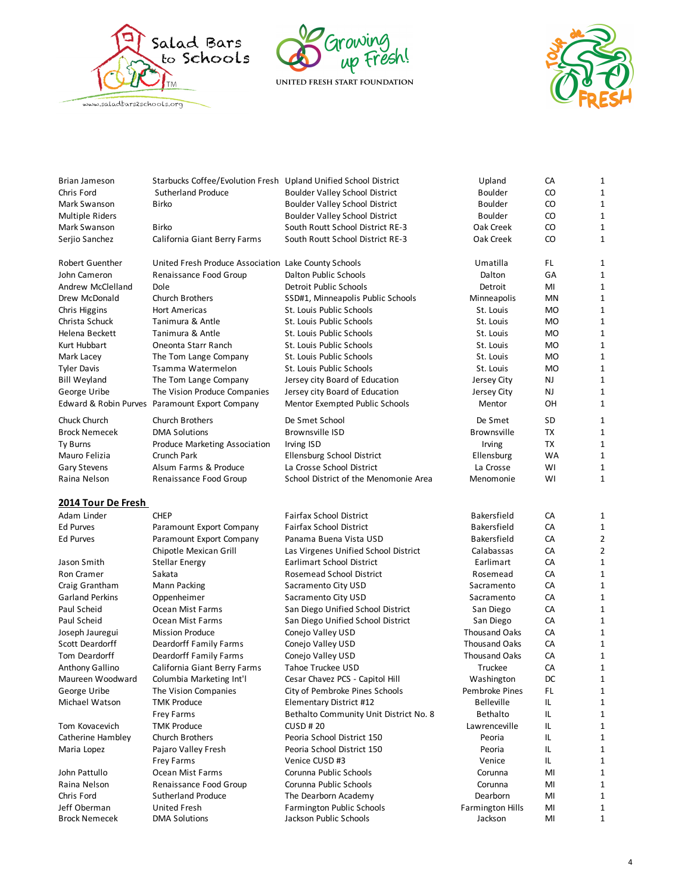





| <b>Brian Jameson</b>   | Starbucks Coffee/Evolution Fresh Upland Unified School District |                                        | Upland                  | CA        | $\mathbf{1}$   |
|------------------------|-----------------------------------------------------------------|----------------------------------------|-------------------------|-----------|----------------|
| Chris Ford             | <b>Sutherland Produce</b>                                       | <b>Boulder Valley School District</b>  | <b>Boulder</b>          | CO        | 1              |
| Mark Swanson           | <b>Birko</b>                                                    | Boulder Valley School District         | <b>Boulder</b>          | CO        | $\mathbf{1}$   |
| Multiple Riders        |                                                                 | Boulder Valley School District         | <b>Boulder</b>          | CO        | $\mathbf{1}$   |
| Mark Swanson           | <b>Birko</b>                                                    | South Routt School District RE-3       | Oak Creek               | CO        | $\mathbf 1$    |
| Serjio Sanchez         | California Giant Berry Farms                                    | South Routt School District RE-3       | Oak Creek               | CO        | $\mathbf{1}$   |
| Robert Guenther        | United Fresh Produce Association Lake County Schools            |                                        | Umatilla                | FL.       | 1              |
| John Cameron           | Renaissance Food Group                                          | Dalton Public Schools                  | Dalton                  | GA        | 1              |
| Andrew McClelland      | Dole                                                            | <b>Detroit Public Schools</b>          | Detroit                 | MI        | 1              |
| Drew McDonald          | <b>Church Brothers</b>                                          | SSD#1, Minneapolis Public Schools      | Minneapolis             | <b>MN</b> | 1              |
| Chris Higgins          | <b>Hort Americas</b>                                            | St. Louis Public Schools               | St. Louis               | <b>MO</b> | $\mathbf{1}$   |
| Christa Schuck         | Tanimura & Antle                                                | St. Louis Public Schools               | St. Louis               | <b>MO</b> | 1              |
| Helena Beckett         | Tanimura & Antle                                                | St. Louis Public Schools               | St. Louis               | <b>MO</b> | 1              |
| Kurt Hubbart           | Oneonta Starr Ranch                                             | St. Louis Public Schools               | St. Louis               | <b>MO</b> | 1              |
| Mark Lacey             | The Tom Lange Company                                           | St. Louis Public Schools               | St. Louis               | <b>MO</b> | $\mathbf 1$    |
| <b>Tyler Davis</b>     | Tsamma Watermelon                                               | St. Louis Public Schools               | St. Louis               | <b>MO</b> | 1              |
| <b>Bill Weyland</b>    | The Tom Lange Company                                           | Jersey city Board of Education         | Jersey City             | NJ        | $\mathbf{1}$   |
| George Uribe           | The Vision Produce Companies                                    | Jersey city Board of Education         | Jersey City             | NJ        | $\mathbf{1}$   |
|                        | Edward & Robin Purves Paramount Export Company                  | Mentor Exempted Public Schools         | Mentor                  | OH        | $\mathbf{1}$   |
| Chuck Church           | <b>Church Brothers</b>                                          | De Smet School                         | De Smet                 | <b>SD</b> | 1              |
| <b>Brock Nemecek</b>   | <b>DMA Solutions</b>                                            | <b>Brownsville ISD</b>                 | Brownsville             | <b>TX</b> | $\mathbf{1}$   |
| Ty Burns               | Produce Marketing Association                                   | Irving ISD                             | Irving                  | <b>TX</b> | 1              |
| Mauro Felizia          | Crunch Park                                                     | Ellensburg School District             | Ellensburg              | WA        | 1              |
| <b>Gary Stevens</b>    | Alsum Farms & Produce                                           | La Crosse School District              | La Crosse               | WI        | 1              |
| Raina Nelson           | Renaissance Food Group                                          | School District of the Menomonie Area  | Menomonie               | WI        | $\mathbf{1}$   |
|                        |                                                                 |                                        |                         |           |                |
| 2014 Tour De Fresh     |                                                                 |                                        |                         |           |                |
| Adam Linder            | <b>CHEP</b>                                                     | <b>Fairfax School District</b>         | <b>Bakersfield</b>      | CA        | 1              |
| <b>Ed Purves</b>       | Paramount Export Company                                        | <b>Fairfax School District</b>         | <b>Bakersfield</b>      | CA        | 1              |
| <b>Ed Purves</b>       | Paramount Export Company                                        | Panama Buena Vista USD                 | <b>Bakersfield</b>      | CA        | $\overline{2}$ |
|                        | Chipotle Mexican Grill                                          | Las Virgenes Unified School District   | Calabassas              | CA        | $\overline{2}$ |
| Jason Smith            | <b>Stellar Energy</b>                                           | <b>Earlimart School District</b>       | Earlimart               | CA        | 1              |
| Ron Cramer             | Sakata                                                          | Rosemead School District               | Rosemead                | CA        | $\mathbf 1$    |
| Craig Grantham         | Mann Packing                                                    | Sacramento City USD                    | Sacramento              | CA        | 1              |
| <b>Garland Perkins</b> | Oppenheimer                                                     | Sacramento City USD                    | Sacramento              | CA        | $\mathbf 1$    |
| Paul Scheid            | Ocean Mist Farms                                                | San Diego Unified School District      | San Diego               | CA        | 1              |
| Paul Scheid            | Ocean Mist Farms                                                | San Diego Unified School District      | San Diego               | CA        | $\mathbf 1$    |
| Joseph Jauregui        | <b>Mission Produce</b>                                          | Conejo Valley USD                      | <b>Thousand Oaks</b>    | CA        | 1              |
| Scott Deardorff        | <b>Deardorff Family Farms</b>                                   | Conejo Valley USD                      | <b>Thousand Oaks</b>    | CA        | 1              |
| Tom Deardorff          | Deardorff Family Farms                                          | Conejo Valley USD                      | <b>Thousand Oaks</b>    | CA        | $\mathbf 1$    |
| Anthony Gallino        | California Giant Berry Farms                                    | Tahoe Truckee USD                      | Truckee                 | CA        | $\mathbf 1$    |
| Maureen Woodward       | Columbia Marketing Int'l                                        | Cesar Chavez PCS - Capitol Hill        | Washington              | DC        | 1              |
| George Uribe           | The Vision Companies                                            | City of Pembroke Pines Schools         | Pembroke Pines          | FL.       | 1              |
| Michael Watson         | <b>TMK Produce</b>                                              | Elementary District #12                | <b>Belleville</b>       | IL        | 1              |
|                        | Frey Farms                                                      | Bethalto Community Unit District No. 8 | <b>Bethalto</b>         | IL        | 1              |
| Tom Kovacevich         | <b>TMK Produce</b>                                              | <b>CUSD#20</b>                         | Lawrenceville           | IL        | 1              |
| Catherine Hambley      | Church Brothers                                                 | Peoria School District 150             | Peoria                  | IL        | 1              |
| Maria Lopez            | Pajaro Valley Fresh                                             | Peoria School District 150             | Peoria                  | IL        | 1              |
|                        | Frey Farms                                                      | Venice CUSD #3                         | Venice                  | IL        | 1              |
| John Pattullo          | Ocean Mist Farms                                                | Corunna Public Schools                 | Corunna                 | MI        | 1              |
| Raina Nelson           | Renaissance Food Group                                          | Corunna Public Schools                 | Corunna                 | MI        | 1              |
| Chris Ford             | <b>Sutherland Produce</b>                                       | The Dearborn Academy                   | Dearborn                | MI        | 1              |
| Jeff Oberman           | <b>United Fresh</b>                                             | <b>Farmington Public Schools</b>       | <b>Farmington Hills</b> | MI        | 1              |
| <b>Brock Nemecek</b>   | <b>DMA Solutions</b>                                            | Jackson Public Schools                 | Jackson                 | MI        | 1              |